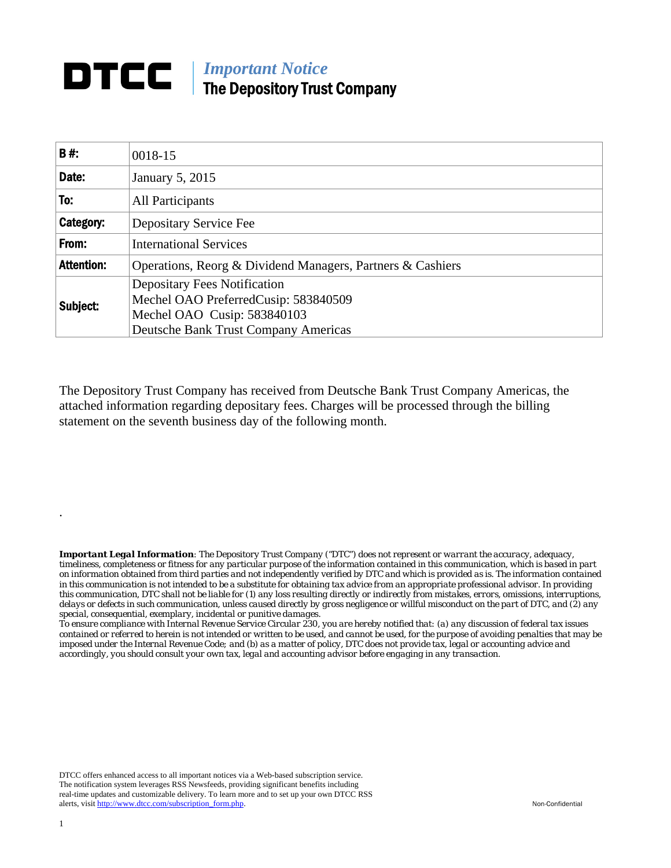## **DTCC** | *Important Notice* The Depository Trust Company

| B#:               | 0018-15                                                                     |  |  |  |  |  |  |
|-------------------|-----------------------------------------------------------------------------|--|--|--|--|--|--|
| Date:             | January 5, 2015                                                             |  |  |  |  |  |  |
| To:               | <b>All Participants</b>                                                     |  |  |  |  |  |  |
| Category:         | Depositary Service Fee                                                      |  |  |  |  |  |  |
| From:             | <b>International Services</b>                                               |  |  |  |  |  |  |
| <b>Attention:</b> | Operations, Reorg & Dividend Managers, Partners & Cashiers                  |  |  |  |  |  |  |
| Subject:          | <b>Depositary Fees Notification</b><br>Mechel OAO PreferredCusip: 583840509 |  |  |  |  |  |  |
|                   | Mechel OAO Cusip: 583840103                                                 |  |  |  |  |  |  |
|                   | <b>Deutsche Bank Trust Company Americas</b>                                 |  |  |  |  |  |  |

The Depository Trust Company has received from Deutsche Bank Trust Company Americas, the attached information regarding depositary fees. Charges will be processed through the billing statement on the seventh business day of the following month.

*Important Legal Information: The Depository Trust Company ("DTC") does not represent or warrant the accuracy, adequacy, timeliness, completeness or fitness for any particular purpose of the information contained in this communication, which is based in part on information obtained from third parties and not independently verified by DTC and which is provided as is. The information contained in this communication is not intended to be a substitute for obtaining tax advice from an appropriate professional advisor. In providing this communication, DTC shall not be liable for (1) any loss resulting directly or indirectly from mistakes, errors, omissions, interruptions, delays or defects in such communication, unless caused directly by gross negligence or willful misconduct on the part of DTC, and (2) any special, consequential, exemplary, incidental or punitive damages.* 

*To ensure compliance with Internal Revenue Service Circular 230, you are hereby notified that: (a) any discussion of federal tax issues contained or referred to herein is not intended or written to be used, and cannot be used, for the purpose of avoiding penalties that may be imposed under the Internal Revenue Code; and (b) as a matter of policy, DTC does not provide tax, legal or accounting advice and accordingly, you should consult your own tax, legal and accounting advisor before engaging in any transaction.*

DTCC offers enhanced access to all important notices via a Web-based subscription service. The notification system leverages RSS Newsfeeds, providing significant benefits including real-time updates and customizable delivery. To learn more and to set up your own DTCC RSS alerts, visit http://www.dtcc.com/subscription\_form.php. Non-Confidential

.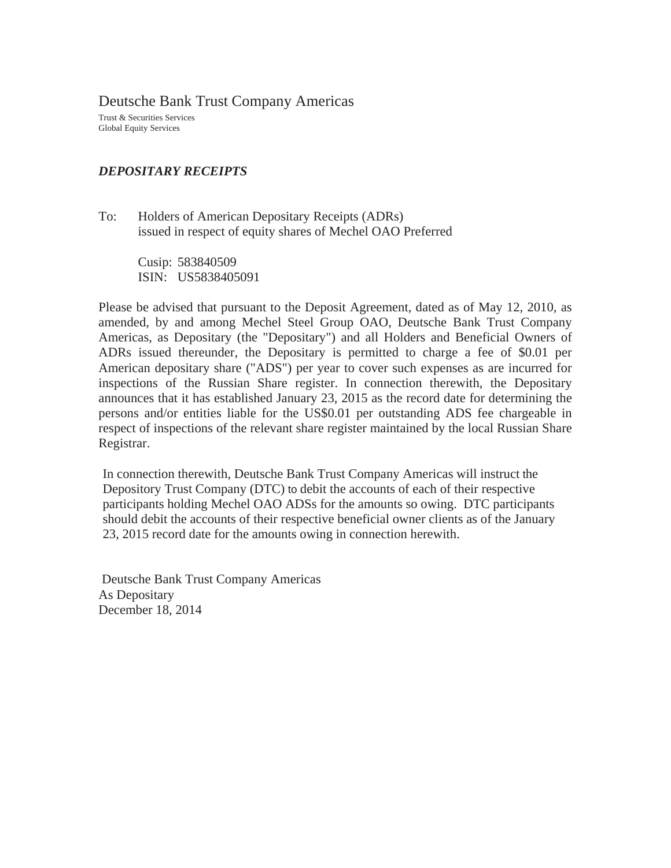Deutsche Bank Trust Company Americas

Trust & Securities Services Global Equity Services

## *DEPOSITARY RECEIPTS*

To: Holders of American Depositary Receipts (ADRs) issued in respect of equity shares of Mechel OAO Preferred

> Cusip: 583840509 ISIN: US5838405091

Please be advised that pursuant to the Deposit Agreement, dated as of May 12, 2010, as amended, by and among Mechel Steel Group OAO, Deutsche Bank Trust Company Americas, as Depositary (the "Depositary") and all Holders and Beneficial Owners of ADRs issued thereunder, the Depositary is permitted to charge a fee of \$0.01 per American depositary share ("ADS") per year to cover such expenses as are incurred for inspections of the Russian Share register. In connection therewith, the Depositary announces that it has established January 23, 2015 as the record date for determining the persons and/or entities liable for the US\$0.01 per outstanding ADS fee chargeable in respect of inspections of the relevant share register maintained by the local Russian Share Registrar.

In connection therewith, Deutsche Bank Trust Company Americas will instruct the Depository Trust Company (DTC) to debit the accounts of each of their respective participants holding Mechel OAO ADSs for the amounts so owing. DTC participants should debit the accounts of their respective beneficial owner clients as of the January 23, 2015 record date for the amounts owing in connection herewith.

 Deutsche Bank Trust Company Americas As Depositary December 18, 2014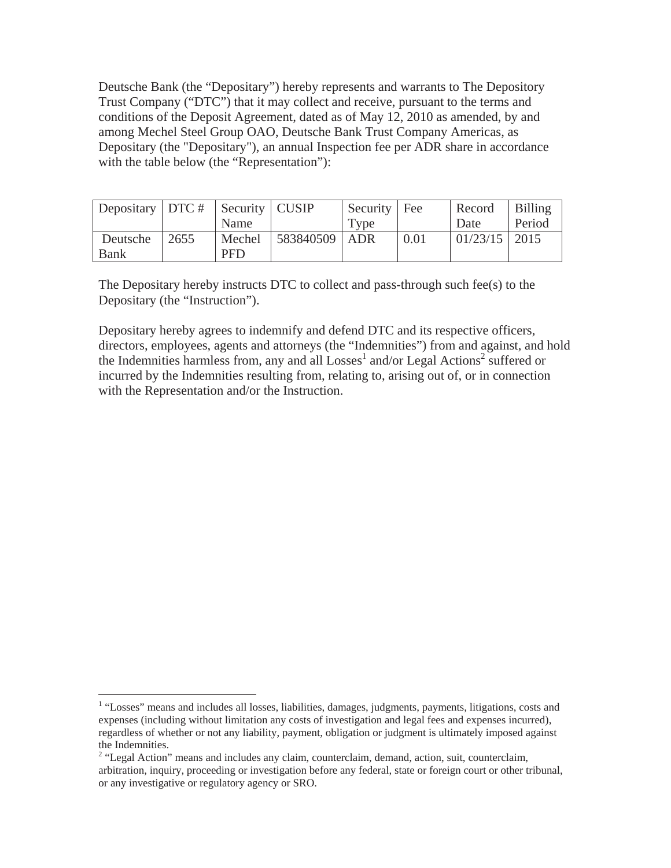Deutsche Bank (the "Depositary") hereby represents and warrants to The Depository Trust Company ("DTC") that it may collect and receive, pursuant to the terms and conditions of the Deposit Agreement, dated as of May 12, 2010 as amended, by and among Mechel Steel Group OAO, Deutsche Bank Trust Company Americas, as Depositary (the "Depositary"), an annual Inspection fee per ADR share in accordance with the table below (the "Representation"):

| Depositary   DTC #   Security   CUSIP |                  |            |                   | Security   Fee |      | Record        | Billing |
|---------------------------------------|------------------|------------|-------------------|----------------|------|---------------|---------|
|                                       |                  | Name       |                   | Type           |      | Date          | Period  |
| Deutsche                              | $\frac{2655}{2}$ | Mechel     | $ 583840509 $ ADR |                | 0.01 | 01/23/15 2015 |         |
| Bank                                  |                  | <b>PFD</b> |                   |                |      |               |         |

The Depositary hereby instructs DTC to collect and pass-through such fee(s) to the Depositary (the "Instruction").

Depositary hereby agrees to indemnify and defend DTC and its respective officers, directors, employees, agents and attorneys (the "Indemnities") from and against, and hold the Indemnities harmless from, any and all  $Losses<sup>1</sup>$  and/or Legal Actions<sup>2</sup> suffered or incurred by the Indemnities resulting from, relating to, arising out of, or in connection with the Representation and/or the Instruction.

<sup>&</sup>lt;sup>1</sup> "Losses" means and includes all losses, liabilities, damages, judgments, payments, litigations, costs and expenses (including without limitation any costs of investigation and legal fees and expenses incurred), regardless of whether or not any liability, payment, obligation or judgment is ultimately imposed against the Indemnities.

<sup>&</sup>lt;sup>2</sup> "Legal Action" means and includes any claim, counterclaim, demand, action, suit, counterclaim, arbitration, inquiry, proceeding or investigation before any federal, state or foreign court or other tribunal, or any investigative or regulatory agency or SRO.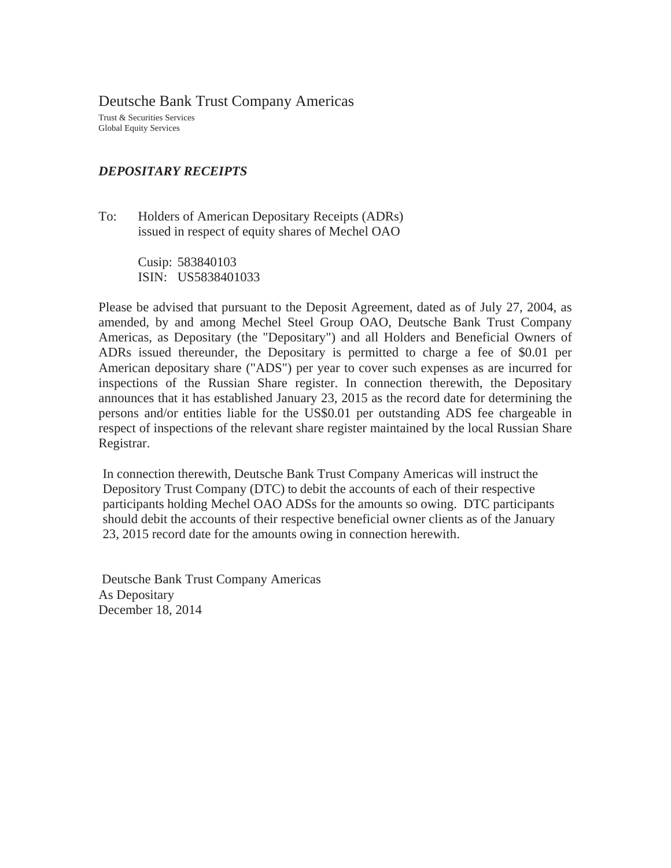Deutsche Bank Trust Company Americas

Trust & Securities Services Global Equity Services

## *DEPOSITARY RECEIPTS*

To: Holders of American Depositary Receipts (ADRs) issued in respect of equity shares of Mechel OAO

> Cusip: 583840103 ISIN: US5838401033

Please be advised that pursuant to the Deposit Agreement, dated as of July 27, 2004, as amended, by and among Mechel Steel Group OAO, Deutsche Bank Trust Company Americas, as Depositary (the "Depositary") and all Holders and Beneficial Owners of ADRs issued thereunder, the Depositary is permitted to charge a fee of \$0.01 per American depositary share ("ADS") per year to cover such expenses as are incurred for inspections of the Russian Share register. In connection therewith, the Depositary announces that it has established January 23, 2015 as the record date for determining the persons and/or entities liable for the US\$0.01 per outstanding ADS fee chargeable in respect of inspections of the relevant share register maintained by the local Russian Share Registrar.

In connection therewith, Deutsche Bank Trust Company Americas will instruct the Depository Trust Company (DTC) to debit the accounts of each of their respective participants holding Mechel OAO ADSs for the amounts so owing. DTC participants should debit the accounts of their respective beneficial owner clients as of the January 23, 2015 record date for the amounts owing in connection herewith.

 Deutsche Bank Trust Company Americas As Depositary December 18, 2014